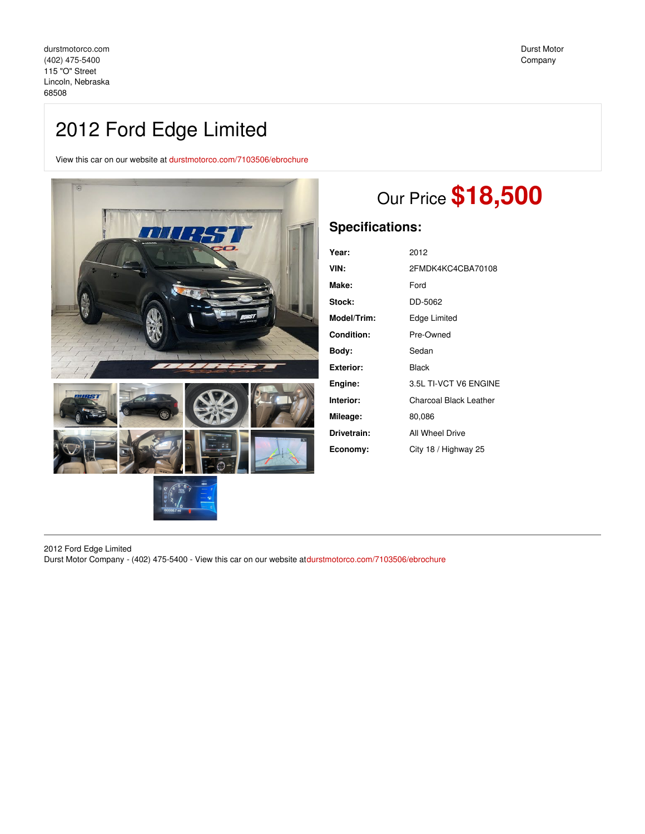# 2012 Ford Edge Limited

View this car on our website at [durstmotorco.com/7103506/ebrochure](https://durstmotorco.com/vehicle/7103506/2012-ford-edge-limited-lincoln-nebraska-68508/7103506/ebrochure)



# Our Price **\$18,500**

## **Specifications:**

| Year:       | 2012                   |
|-------------|------------------------|
| VIN:        | 2FMDK4KC4CBA70108      |
| Make:       | Ford                   |
| Stock:      | DD-5062                |
| Model/Trim: | Edge Limited           |
| Condition:  | Pre-Owned              |
| Bodv:       | Sedan                  |
| Exterior:   | Black                  |
| Engine:     | 3.5L TI-VCT V6 ENGINE  |
| Interior:   | Charcoal Black Leather |
| Mileage:    | 80,086                 |
| Drivetrain: | All Wheel Drive        |
| Economy:    | City 18 / Highway 25   |
|             |                        |

2012 Ford Edge Limited Durst Motor Company - (402) 475-5400 - View this car on our website at[durstmotorco.com/7103506/ebrochure](https://durstmotorco.com/vehicle/7103506/2012-ford-edge-limited-lincoln-nebraska-68508/7103506/ebrochure)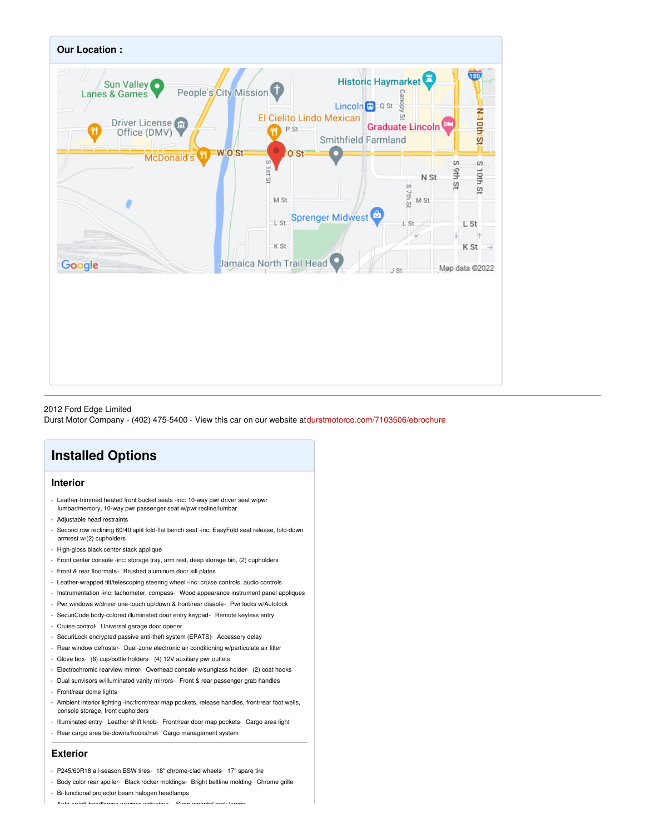

#### 2012 Ford Edge Limited

Durst Motor Company - (402) 475-5400 - View this car on our website at[durstmotorco.com/7103506/ebrochure](https://durstmotorco.com/vehicle/7103506/2012-ford-edge-limited-lincoln-nebraska-68508/7103506/ebrochure)

# **Installed Options**

### **Interior**

- Leather-trimmed heated front bucket seats -inc: 10-way pwr driver seat w/pwr lumbar/memory, 10-way pwr passenger seat w/pwr recline/lumbar
- Adjustable head restraints
- Second row reclining 60/40 split fold-flat bench seat -inc: EasyFold seat release, fold-down armrest w/(2) cupholders
- High-gloss black center stack applique
- Front center console -inc: storage tray, arm rest, deep storage bin, (2) cupholders
- Front & rear floormats- Brushed aluminum door sill plates
- Leather-wrapped tilt/telescoping steering wheel -inc: cruise controls, audio controls
- Instrumentation -inc: tachometer, compass- Wood appearance instrument panel appliques
- Pwr windows w/driver one-touch up/down & front/rear disable- Pwr locks w/Autolock
- SecuriCode body-colored illuminated door entry keypad- Remote keyless entry
- Cruise control- Universal garage door opener
- SecuriLock encrypted passive anti-theft system (EPATS)- Accessory delay
- Rear window defroster- Dual-zone electronic air conditioning w/particulate air filter
- Glove box- (8) cup/bottle holders- (4) 12V auxiliary pwr outlets
- Electrochromic rearview mirror- Overhead console w/sunglass holder- (2) coat hooks
- Dual sunvisors w/illuminated vanity mirrors- Front & rear passenger grab handles
- Front/rear dome lights
- Ambient interior lighting -inc:front/rear map pockets, release handles, front/rear foot wells, console storage, front cupholders
- Illuminated entry- Leather shift knob- Front/rear door map pockets- Cargo area light
- Rear cargo area tie-downs/hooks/net- Cargo management system

#### **Exterior**

- P245/60R18 all-season BSW tires- 18" chrome-clad wheels- 17" spare tire
- Body color rear spoiler- Black rocker moldings- Bright beltline molding- Chrome grille
- Bi-functional projector beam halogen headlamps

- Auto on/off headlamps w/wiper activation - Supplemental park lamps